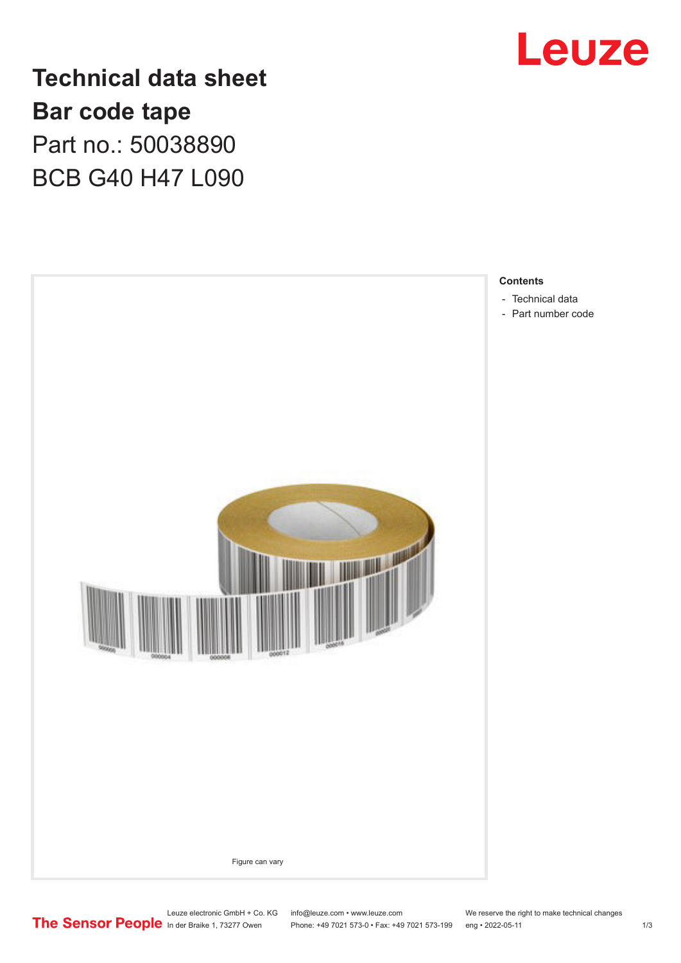

**Technical data sheet Bar code tape** Part no.: 50038890 BCB G40 H47 L090



Leuze electronic GmbH + Co. KG info@leuze.com • www.leuze.com We reserve the right to make technical changes<br>
The Sensor People in der Braike 1, 73277 Owen Phone: +49 7021 573-0 • Fax: +49 7021 573-199 eng • 2022-05-11

Phone: +49 7021 573-0 • Fax: +49 7021 573-199 eng • 2022-05-11 1 2022-05-11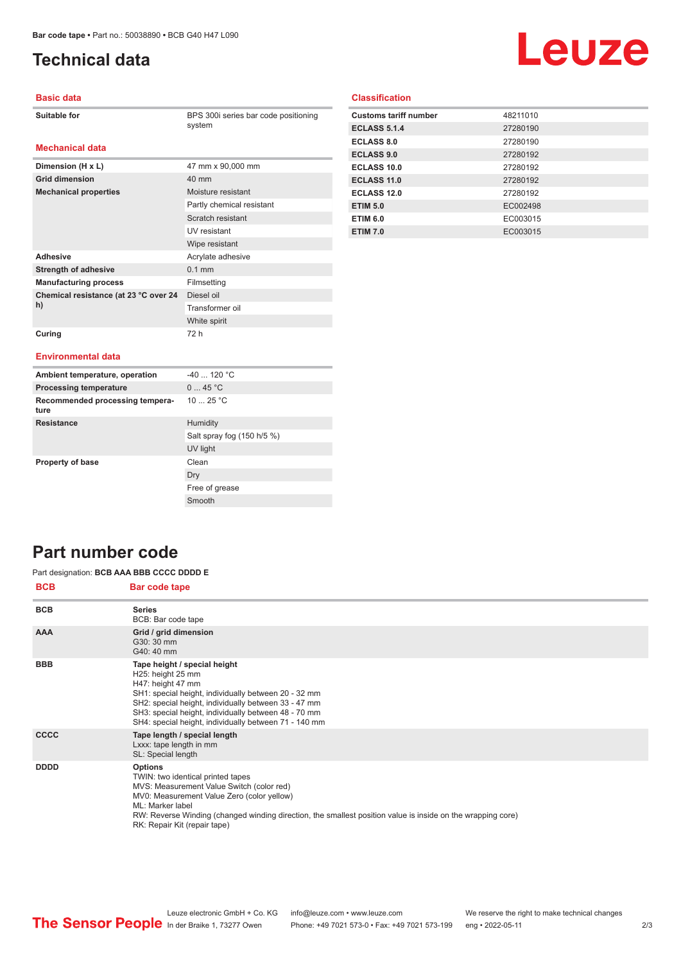**Dimension (H x L)** 47 mm x 90,000 mm

**Mechanical properties** Moisture resistant

Adhesive **Adhesive** Acrylate adhesive **Strength of adhesive** 0.1 mm **Manufacturing process** Filmsetting

**Grid dimension** 40 mm

**Chemical resistance (at 23 °C over 24** 

# <span id="page-1-0"></span>**Technical data**

# Leuze

#### **Basic data**

| Suitable for |
|--------------|
|--------------|

**Mechanical data**

BPS 300i series bar code positioning system

Partly chemical resistant Scratch resistant UV resistant Wipe resistant

Diesel oil Transformer oil White spirit

## **Classification**

| <b>Customs tariff number</b> | 48211010 |
|------------------------------|----------|
| <b>ECLASS 5.1.4</b>          | 27280190 |
| <b>ECLASS 8.0</b>            | 27280190 |
| <b>ECLASS 9.0</b>            | 27280192 |
| ECLASS 10.0                  | 27280192 |
| ECLASS 11.0                  | 27280192 |
| ECLASS 12.0                  | 27280192 |
| <b>ETIM 5.0</b>              | EC002498 |
| <b>ETIM 6.0</b>              | EC003015 |
| <b>ETIM 7.0</b>              | EC003015 |

## **Curing** 72 h

**h)**

#### **Environmental data**

| Ambient temperature, operation          | $-40$ 120 °C               |
|-----------------------------------------|----------------------------|
| <b>Processing temperature</b>           | 045 °C                     |
| Recommended processing tempera-<br>ture | 10 $25 °C$                 |
| <b>Resistance</b>                       | Humidity                   |
|                                         | Salt spray fog (150 h/5 %) |
|                                         | UV light                   |
| <b>Property of base</b>                 | Clean                      |
|                                         | Dry                        |
|                                         | Free of grease             |
|                                         | Smooth                     |

## **Part number code**

#### Part designation: **BCB AAA BBB CCCC DDDD E**

| <b>BCB</b>  | <b>Bar code tape</b>                                                                                                                                                                                                                                                                                              |
|-------------|-------------------------------------------------------------------------------------------------------------------------------------------------------------------------------------------------------------------------------------------------------------------------------------------------------------------|
| <b>BCB</b>  | <b>Series</b><br>BCB: Bar code tape                                                                                                                                                                                                                                                                               |
| <b>AAA</b>  | Grid / grid dimension<br>G30: 30 mm<br>G40: 40 mm                                                                                                                                                                                                                                                                 |
| <b>BBB</b>  | Tape height / special height<br>H25: height 25 mm<br>H47: height 47 mm<br>SH1: special height, individually between 20 - 32 mm<br>SH2: special height, individually between 33 - 47 mm<br>SH3: special height, individually between 48 - 70 mm<br>SH4: special height, individually between 71 - 140 mm           |
| <b>CCCC</b> | Tape length / special length<br>Lxxx: tape length in mm<br>SL: Special length                                                                                                                                                                                                                                     |
| <b>DDDD</b> | <b>Options</b><br>TWIN: two identical printed tapes<br>MVS: Measurement Value Switch (color red)<br>MV0: Measurement Value Zero (color yellow)<br>ML: Marker label<br>RW: Reverse Winding (changed winding direction, the smallest position value is inside on the wrapping core)<br>RK: Repair Kit (repair tape) |